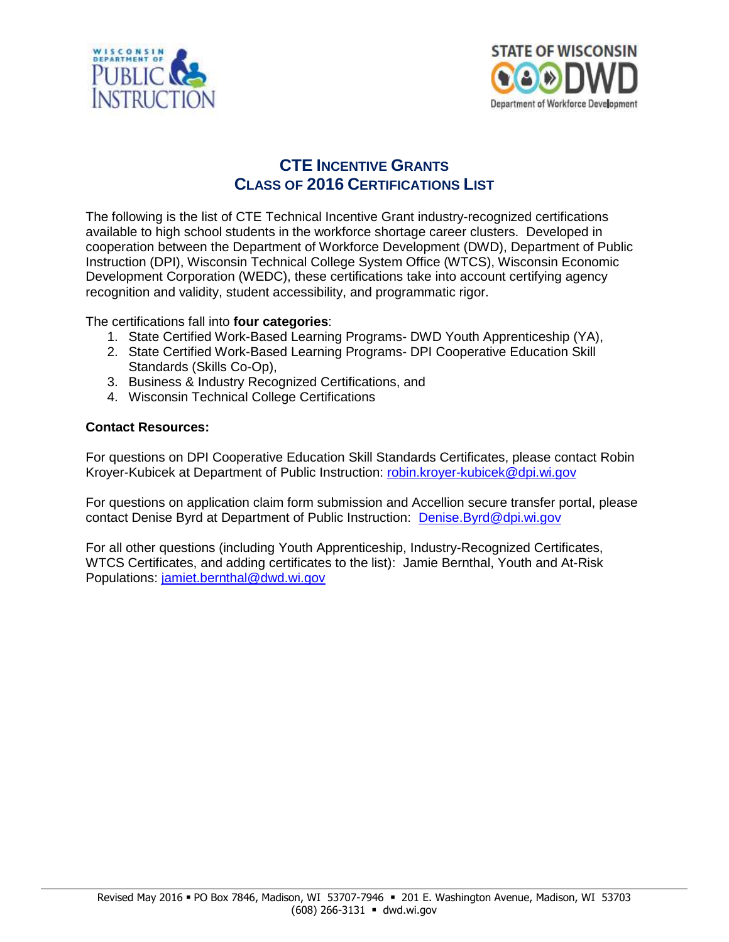



## **CTE INCENTIVE GRANTS CLASS OF 2016 CERTIFICATIONS LIST**

The following is the list of CTE Technical Incentive Grant industry-recognized certifications available to high school students in the workforce shortage career clusters. Developed in cooperation between the Department of Workforce Development (DWD), Department of Public Instruction (DPI), Wisconsin Technical College System Office (WTCS), Wisconsin Economic Development Corporation (WEDC), these certifications take into account certifying agency recognition and validity, student accessibility, and programmatic rigor.

The certifications fall into **four categories**:

- 1. State Certified Work-Based Learning Programs- DWD Youth Apprenticeship (YA),
- 2. State Certified Work-Based Learning Programs- DPI Cooperative Education Skill Standards (Skills Co-Op),
- 3. Business & Industry Recognized Certifications, and
- 4. Wisconsin Technical College Certifications

## **Contact Resources:**

For questions on DPI Cooperative Education Skill Standards Certificates, please contact Robin Kroyer-Kubicek at Department of Public Instruction: [robin.kroyer-kubicek@dpi.wi.gov](mailto:robin.kroyer-kubicek@dpi.wi.gov)

For questions on application claim form submission and Accellion secure transfer portal, please contact Denise Byrd at Department of Public Instruction: [Denise.Byrd@dpi.wi.gov](mailto:Denise.Byrd@dpi.wi.gov)

For all other questions (including Youth Apprenticeship, Industry-Recognized Certificates, WTCS Certificates, and adding certificates to the list): Jamie Bernthal, Youth and At-Risk Populations: [jamiet.bernthal@dwd.wi.gov](mailto:jamiet.bernthal@dwd.wi.gov)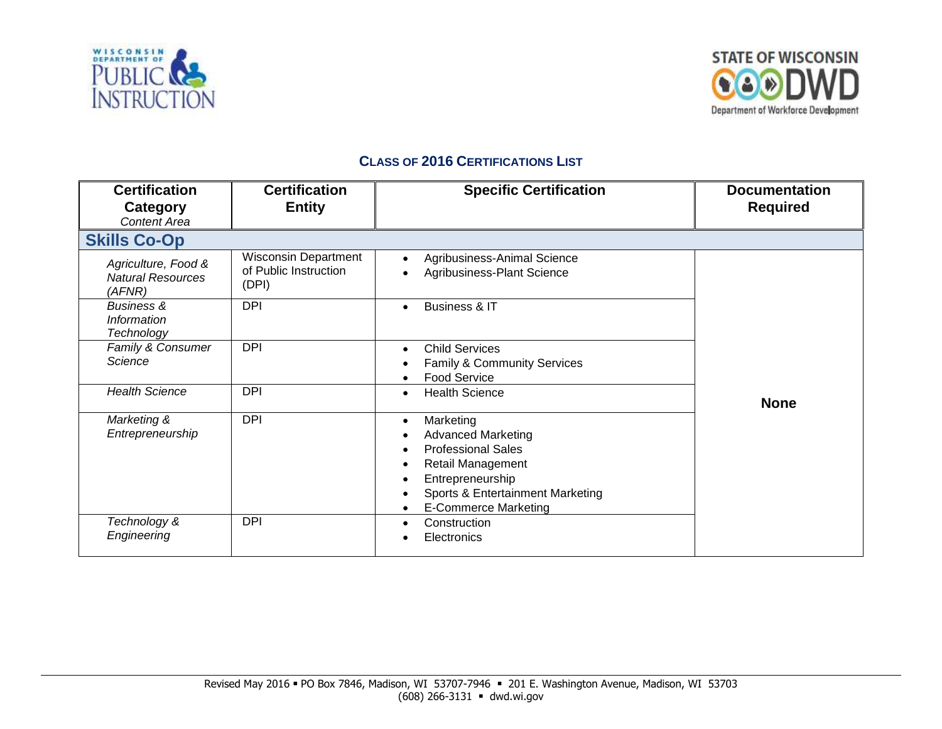



## **CLASS OF 2016 CERTIFICATIONS LIST**

| <b>Certification</b><br>Category<br>Content Area          | <b>Certification</b><br><b>Entity</b>                         | <b>Specific Certification</b>                                                                                                                                                                       | <b>Documentation</b><br><b>Required</b> |
|-----------------------------------------------------------|---------------------------------------------------------------|-----------------------------------------------------------------------------------------------------------------------------------------------------------------------------------------------------|-----------------------------------------|
| <b>Skills Co-Op</b>                                       |                                                               |                                                                                                                                                                                                     |                                         |
| Agriculture, Food &<br><b>Natural Resources</b><br>(AFNR) | <b>Wisconsin Department</b><br>of Public Instruction<br>(DPI) | Agribusiness-Animal Science<br>Agribusiness-Plant Science                                                                                                                                           |                                         |
| <b>Business &amp;</b><br>Information<br>Technology        | <b>DPI</b>                                                    | Business & IT<br>$\bullet$                                                                                                                                                                          |                                         |
| Family & Consumer<br>Science                              | <b>DPI</b>                                                    | <b>Child Services</b><br>$\bullet$<br>Family & Community Services<br><b>Food Service</b>                                                                                                            |                                         |
| <b>Health Science</b>                                     | <b>DPI</b>                                                    | <b>Health Science</b><br>$\bullet$                                                                                                                                                                  | <b>None</b>                             |
| Marketing &<br>Entrepreneurship                           | <b>DPI</b>                                                    | Marketing<br>$\bullet$<br><b>Advanced Marketing</b><br><b>Professional Sales</b><br><b>Retail Management</b><br>Entrepreneurship<br>Sports & Entertainment Marketing<br><b>E-Commerce Marketing</b> |                                         |
| Technology &<br>Engineering                               | <b>DPI</b>                                                    | Construction<br>$\bullet$<br>Electronics                                                                                                                                                            |                                         |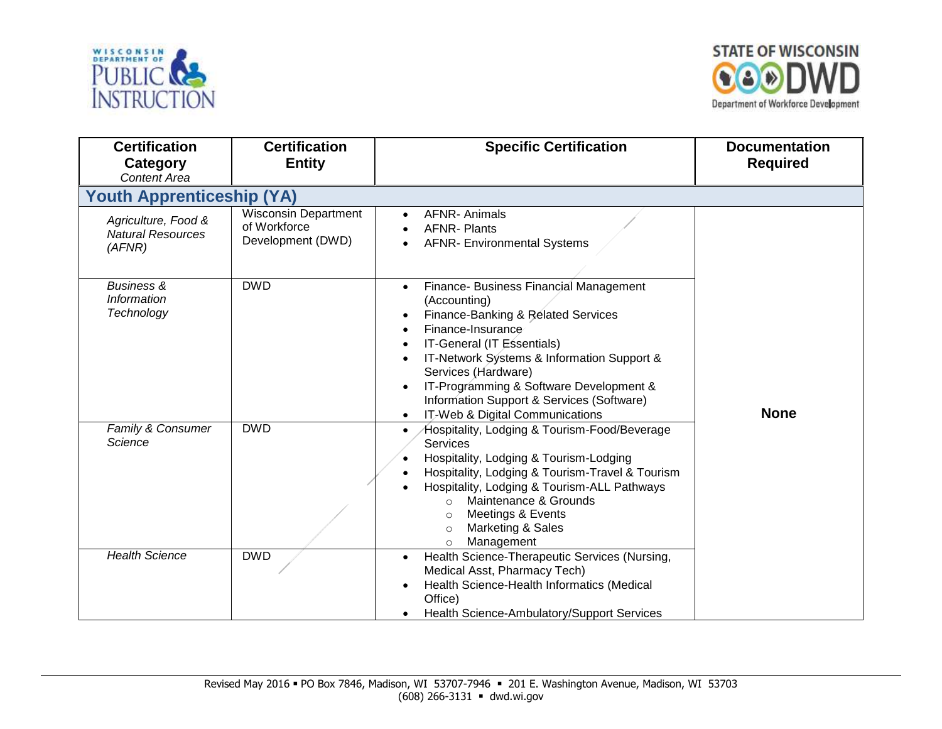



| <b>Certification</b><br>Category<br><b>Content Area</b>   | <b>Certification</b><br><b>Entity</b>                            | <b>Specific Certification</b>                                                                                                                                                                                                                                                                                                                   | <b>Documentation</b><br><b>Required</b> |
|-----------------------------------------------------------|------------------------------------------------------------------|-------------------------------------------------------------------------------------------------------------------------------------------------------------------------------------------------------------------------------------------------------------------------------------------------------------------------------------------------|-----------------------------------------|
| <b>Youth Apprenticeship (YA)</b>                          |                                                                  |                                                                                                                                                                                                                                                                                                                                                 |                                         |
| Agriculture, Food &<br><b>Natural Resources</b><br>(AFNR) | <b>Wisconsin Department</b><br>of Workforce<br>Development (DWD) | <b>AFNR-Animals</b><br><b>AFNR-Plants</b><br><b>AFNR- Environmental Systems</b>                                                                                                                                                                                                                                                                 |                                         |
| <b>Business &amp;</b><br>Information<br>Technology        | <b>DWD</b>                                                       | Finance- Business Financial Management<br>(Accounting)<br>Finance-Banking & Related Services<br>Finance-Insurance<br>IT-General (IT Essentials)<br>IT-Network Systems & Information Support &<br>Services (Hardware)<br>IT-Programming & Software Development &<br>Information Support & Services (Software)<br>IT-Web & Digital Communications | <b>None</b>                             |
| Family & Consumer<br>Science                              | <b>DWD</b>                                                       | Hospitality, Lodging & Tourism-Food/Beverage<br>Services<br>Hospitality, Lodging & Tourism-Lodging<br>Hospitality, Lodging & Tourism-Travel & Tourism<br>Hospitality, Lodging & Tourism-ALL Pathways<br>Maintenance & Grounds<br>$\circ$<br>Meetings & Events<br>$\circ$<br>Marketing & Sales<br>$\circ$<br>Management<br>$\circ$               |                                         |
| <b>Health Science</b>                                     | <b>DWD</b>                                                       | Health Science-Therapeutic Services (Nursing,<br>Medical Asst, Pharmacy Tech)<br>Health Science-Health Informatics (Medical<br>Office)<br>Health Science-Ambulatory/Support Services                                                                                                                                                            |                                         |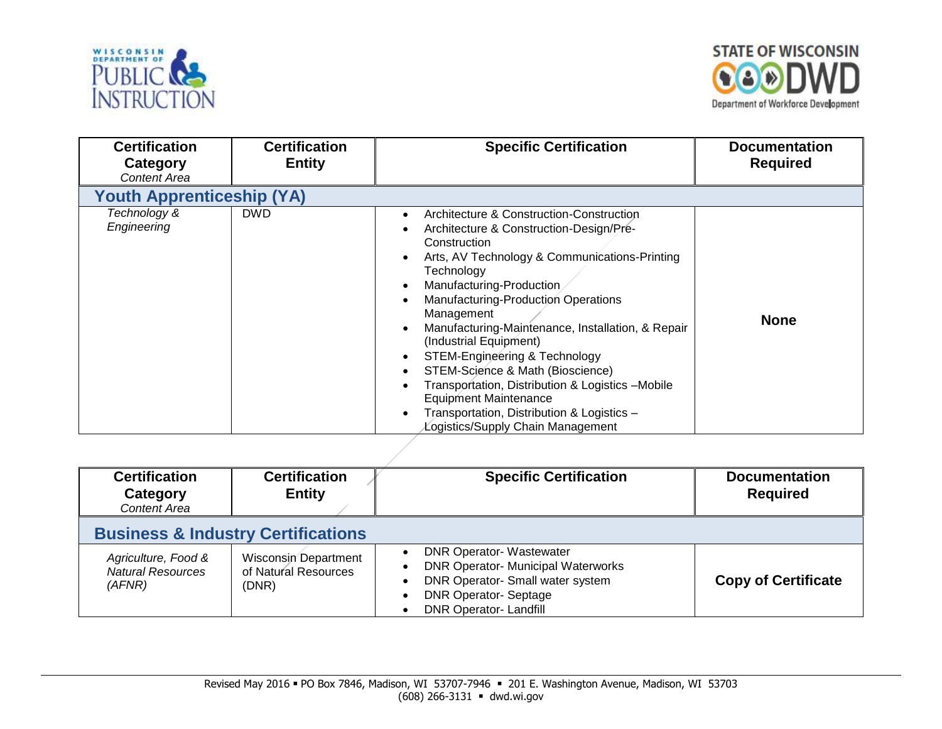



| <b>Certification</b><br>Category<br><b>Content Area</b> | <b>Certification</b><br><b>Entity</b> | <b>Specific Certification</b>                                                                                                                                                                                                                                                                                                                                                                                                                                                                                                                                                               | <b>Documentation</b><br><b>Required</b> |
|---------------------------------------------------------|---------------------------------------|---------------------------------------------------------------------------------------------------------------------------------------------------------------------------------------------------------------------------------------------------------------------------------------------------------------------------------------------------------------------------------------------------------------------------------------------------------------------------------------------------------------------------------------------------------------------------------------------|-----------------------------------------|
| <b>Youth Apprenticeship (YA)</b>                        |                                       |                                                                                                                                                                                                                                                                                                                                                                                                                                                                                                                                                                                             |                                         |
| Technology &<br>Engineering                             | <b>DWD</b>                            | Architecture & Construction-Construction<br>Architecture & Construction-Design/Pre-<br>Construction<br>Arts, AV Technology & Communications-Printing<br>Technology<br>Manufacturing-Production<br>Manufacturing-Production Operations<br>Management<br>Manufacturing-Maintenance, Installation, & Repair<br>(Industrial Equipment)<br>STEM-Engineering & Technology<br>STEM-Science & Math (Bioscience)<br>$\bullet$<br>Transportation, Distribution & Logistics -Mobile<br><b>Equipment Maintenance</b><br>Transportation, Distribution & Logistics -<br>Logistics/Supply Chain Management | <b>None</b>                             |

| <b>Certification</b><br>Category<br><b>Content Area</b>   | <b>Certification</b><br><b>Entity</b>                        | <b>Specific Certification</b>                                                                                                                                                  | <b>Documentation</b><br><b>Required</b> |
|-----------------------------------------------------------|--------------------------------------------------------------|--------------------------------------------------------------------------------------------------------------------------------------------------------------------------------|-----------------------------------------|
| <b>Business &amp; Industry Certifications</b>             |                                                              |                                                                                                                                                                                |                                         |
| Agriculture, Food &<br><b>Natural Resources</b><br>(AFNR) | <b>Wisconsin Department</b><br>of Natural Resources<br>(DNR) | <b>DNR Operator-Wastewater</b><br><b>DNR Operator- Municipal Waterworks</b><br>DNR Operator- Small water system<br><b>DNR Operator-Septage</b><br><b>DNR Operator-Landfill</b> | <b>Copy of Certificate</b>              |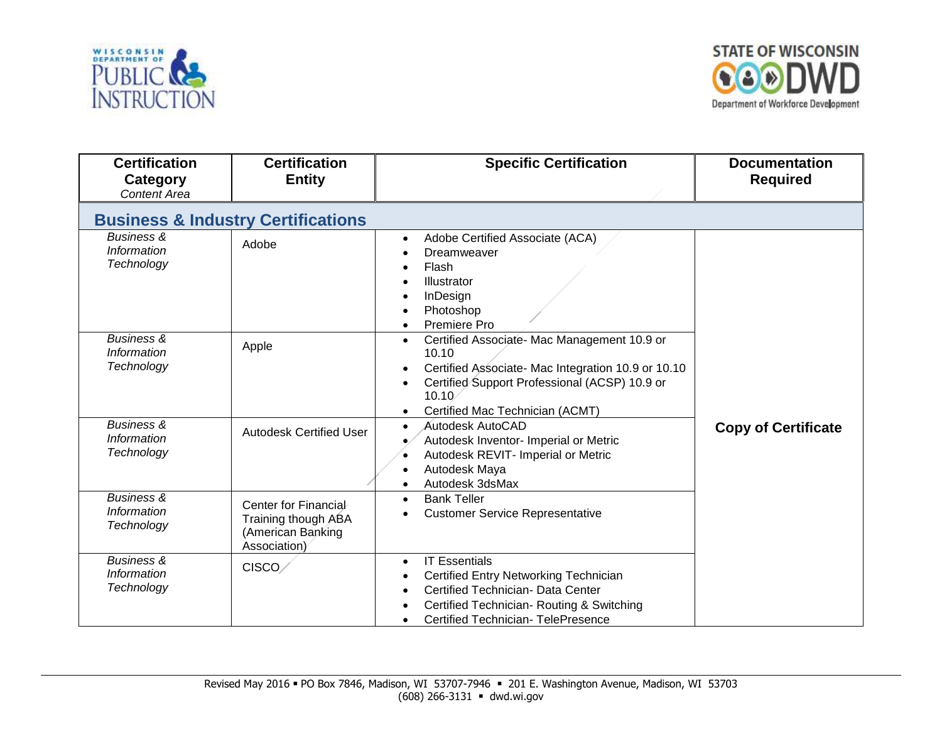



| <b>Certification</b><br>Category<br><b>Content Area</b>   | <b>Certification</b><br><b>Entity</b>                                            | <b>Specific Certification</b>                                                                                                                                                                                                                               | <b>Documentation</b><br><b>Required</b> |
|-----------------------------------------------------------|----------------------------------------------------------------------------------|-------------------------------------------------------------------------------------------------------------------------------------------------------------------------------------------------------------------------------------------------------------|-----------------------------------------|
|                                                           | <b>Business &amp; Industry Certifications</b>                                    |                                                                                                                                                                                                                                                             |                                         |
| <b>Business &amp;</b><br><b>Information</b><br>Technology | Adobe                                                                            | Adobe Certified Associate (ACA)<br>$\bullet$<br>Dreamweaver<br>Flash<br>$\bullet$<br>Illustrator<br>$\bullet$<br>InDesign<br>Photoshop<br>Premiere Pro<br>$\bullet$                                                                                         |                                         |
| <b>Business &amp;</b><br>Information<br>Technology        | Apple                                                                            | Certified Associate- Mac Management 10.9 or<br>$\bullet$<br>10.10<br>Certified Associate- Mac Integration 10.9 or 10.10<br>$\bullet$<br>Certified Support Professional (ACSP) 10.9 or<br>$\bullet$<br>10.10<br>Certified Mac Technician (ACMT)<br>$\bullet$ |                                         |
| <b>Business &amp;</b><br>Information<br>Technology        | <b>Autodesk Certified User</b>                                                   | Autodesk AutoCAD<br>$\bullet$<br>Autodesk Inventor- Imperial or Metric<br>Autodesk REVIT- Imperial or Metric<br>Autodesk Maya<br>$\bullet$<br>Autodesk 3dsMax<br>$\bullet$                                                                                  | <b>Copy of Certificate</b>              |
| <b>Business &amp;</b><br><b>Information</b><br>Technology | Center for Financial<br>Training though ABA<br>(American Banking<br>Association) | <b>Bank Teller</b><br>$\bullet$<br><b>Customer Service Representative</b>                                                                                                                                                                                   |                                         |
| <b>Business &amp;</b><br><b>Information</b><br>Technology | CISCO/                                                                           | <b>IT Essentials</b><br>$\bullet$<br>Certified Entry Networking Technician<br>Certified Technician- Data Center<br>Certified Technician-Routing & Switching<br><b>Certified Technician- TelePresence</b>                                                    |                                         |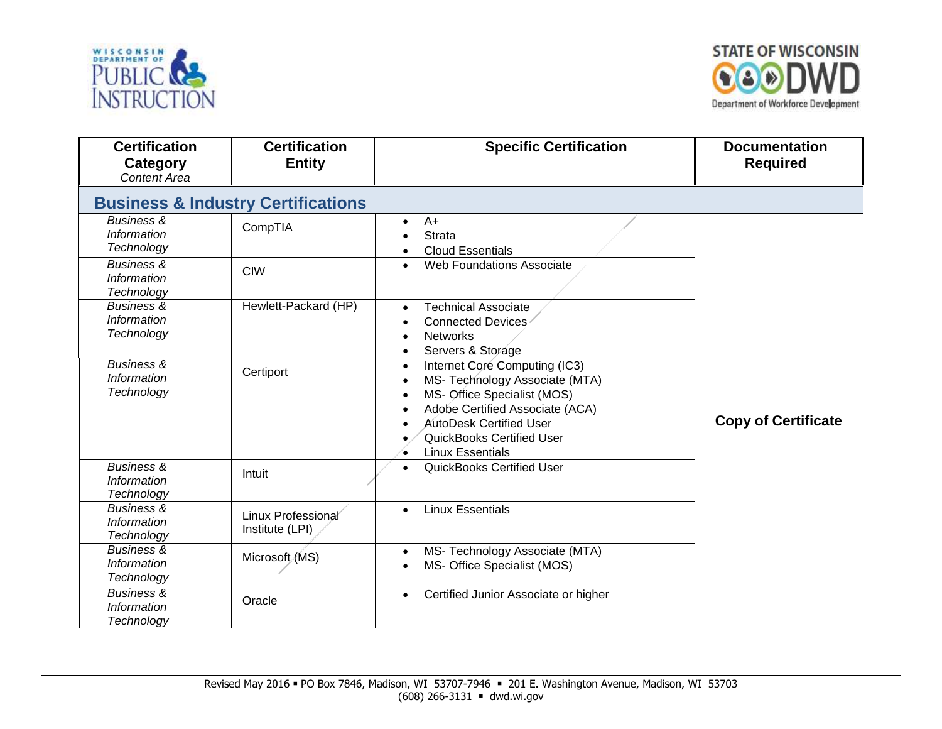



| <b>Certification</b><br><b>Category</b><br><b>Content Area</b> | <b>Certification</b><br><b>Entity</b>         | <b>Specific Certification</b>                                                                                                                                                                                                                                                          | <b>Documentation</b><br><b>Required</b> |
|----------------------------------------------------------------|-----------------------------------------------|----------------------------------------------------------------------------------------------------------------------------------------------------------------------------------------------------------------------------------------------------------------------------------------|-----------------------------------------|
|                                                                | <b>Business &amp; Industry Certifications</b> |                                                                                                                                                                                                                                                                                        |                                         |
| <b>Business &amp;</b><br><b>Information</b><br>Technology      | CompTIA                                       | $A+$<br>$\bullet$<br><b>Strata</b><br><b>Cloud Essentials</b><br>$\bullet$                                                                                                                                                                                                             |                                         |
| <b>Business &amp;</b><br><b>Information</b><br>Technology      | <b>CIW</b>                                    | <b>Web Foundations Associate</b><br>$\bullet$                                                                                                                                                                                                                                          |                                         |
| <b>Business &amp;</b><br>Information<br>Technology             | Hewlett-Packard (HP)                          | <b>Technical Associate</b><br>$\bullet$<br>Connected Devices<br><b>Networks</b><br>$\bullet$<br>Servers & Storage<br>$\bullet$                                                                                                                                                         |                                         |
| <b>Business &amp;</b><br>Information<br>Technology             | Certiport                                     | Internet Core Computing (IC3)<br>$\bullet$<br>MS- Technology Associate (MTA)<br>$\bullet$<br>MS- Office Specialist (MOS)<br>$\bullet$<br>Adobe Certified Associate (ACA)<br>$\bullet$<br><b>AutoDesk Certified User</b><br><b>QuickBooks Certified User</b><br><b>Linux Essentials</b> | <b>Copy of Certificate</b>              |
| <b>Business &amp;</b><br><b>Information</b><br>Technology      | Intuit                                        | <b>QuickBooks Certified User</b><br>$\bullet$                                                                                                                                                                                                                                          |                                         |
| <b>Business &amp;</b><br><b>Information</b><br>Technology      | Linux Professional<br>Institute (LPI)         | <b>Linux Essentials</b><br>$\bullet$                                                                                                                                                                                                                                                   |                                         |
| Business &<br>Information<br>Technology                        | Microsoft (MS)                                | MS- Technology Associate (MTA)<br>$\bullet$<br>MS- Office Specialist (MOS)<br>$\bullet$                                                                                                                                                                                                |                                         |
| <b>Business &amp;</b><br><b>Information</b><br>Technology      | Oracle                                        | Certified Junior Associate or higher<br>$\bullet$                                                                                                                                                                                                                                      |                                         |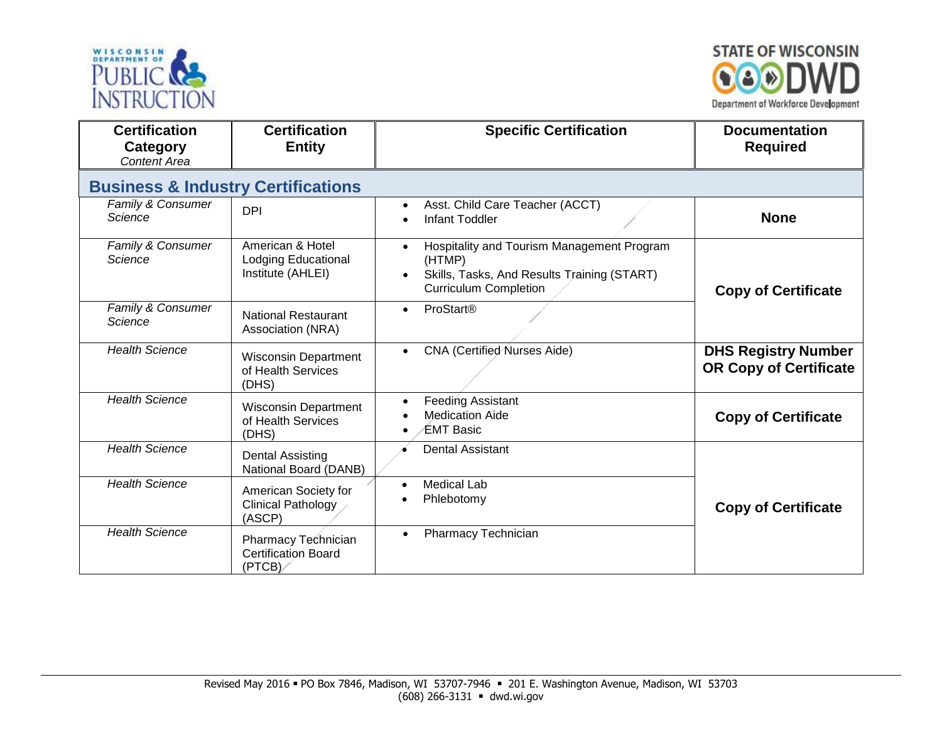



| <b>Certification</b><br>Category<br><b>Content Area</b> | <b>Certification</b><br><b>Entity</b>                               | <b>Specific Certification</b>                                                                                                       | <b>Documentation</b><br><b>Required</b>                     |
|---------------------------------------------------------|---------------------------------------------------------------------|-------------------------------------------------------------------------------------------------------------------------------------|-------------------------------------------------------------|
| <b>Business &amp; Industry Certifications</b>           |                                                                     |                                                                                                                                     |                                                             |
| Family & Consumer<br>Science                            | <b>DPI</b>                                                          | Asst. Child Care Teacher (ACCT)<br>$\bullet$<br><b>Infant Toddler</b>                                                               | <b>None</b>                                                 |
| Family & Consumer<br>Science                            | American & Hotel<br><b>Lodging Educational</b><br>Institute (AHLEI) | Hospitality and Tourism Management Program<br>(HTMP)<br>Skills, Tasks, And Results Training (START)<br><b>Curriculum Completion</b> | <b>Copy of Certificate</b>                                  |
| Family & Consumer<br>Science                            | <b>National Restaurant</b><br>Association (NRA)                     | <b>ProStart®</b><br>$\bullet$                                                                                                       |                                                             |
| <b>Health Science</b>                                   | <b>Wisconsin Department</b><br>of Health Services<br>(DHS)          | <b>CNA</b> (Certified Nurses Aide)                                                                                                  | <b>DHS Registry Number</b><br><b>OR Copy of Certificate</b> |
| <b>Health Science</b>                                   | <b>Wisconsin Department</b><br>of Health Services<br>(DHS)          | <b>Feeding Assistant</b><br><b>Medication Aide</b><br>EMT Basic                                                                     | <b>Copy of Certificate</b>                                  |
| <b>Health Science</b>                                   | <b>Dental Assisting</b><br>National Board (DANB)                    | <b>Dental Assistant</b>                                                                                                             |                                                             |
| <b>Health Science</b>                                   | American Society for<br><b>Clinical Pathology</b><br>(ASCP)         | <b>Medical Lab</b><br>$\bullet$<br>Phlebotomy                                                                                       | <b>Copy of Certificate</b>                                  |
| <b>Health Science</b>                                   | Pharmacy Technician<br><b>Certification Board</b><br>(PTCB)         | <b>Pharmacy Technician</b>                                                                                                          |                                                             |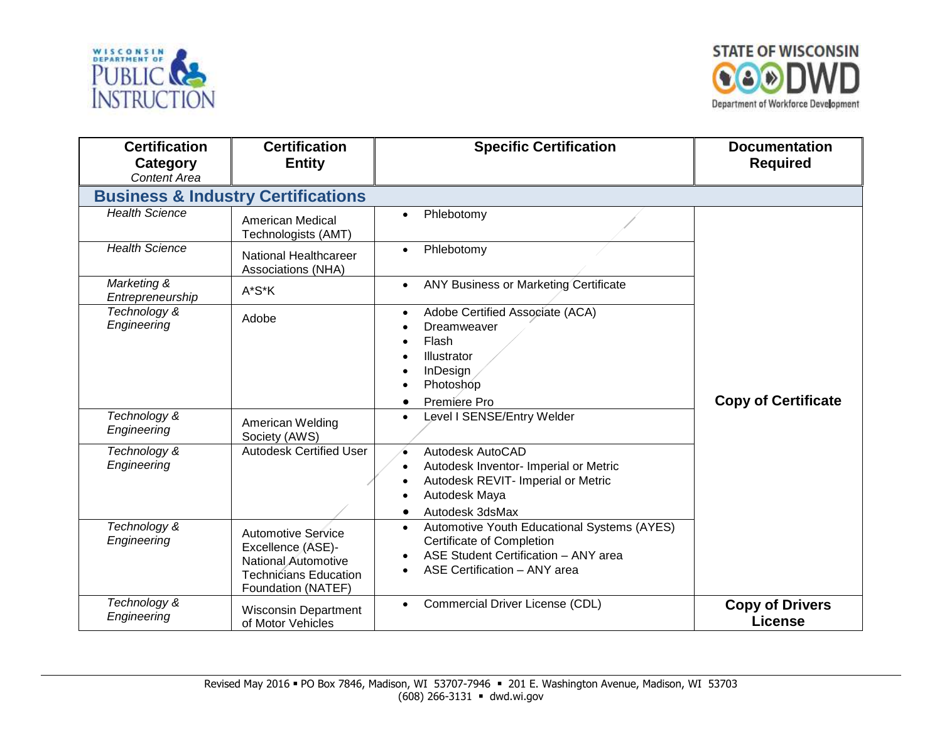



| <b>Certification</b><br>Category<br><b>Content Area</b> | <b>Certification</b><br><b>Entity</b>                                                                                       | <b>Specific Certification</b>                                                                                                                                 | <b>Documentation</b><br><b>Required</b>  |
|---------------------------------------------------------|-----------------------------------------------------------------------------------------------------------------------------|---------------------------------------------------------------------------------------------------------------------------------------------------------------|------------------------------------------|
|                                                         | <b>Business &amp; Industry Certifications</b>                                                                               |                                                                                                                                                               |                                          |
| <b>Health Science</b>                                   | <b>American Medical</b><br>Technologists (AMT)                                                                              | Phlebotomy<br>$\bullet$                                                                                                                                       |                                          |
| <b>Health Science</b>                                   | National Healthcareer<br>Associations (NHA)                                                                                 | Phlebotomy<br>$\bullet$                                                                                                                                       |                                          |
| Marketing &<br>Entrepreneurship                         | A*S*K                                                                                                                       | <b>ANY Business or Marketing Certificate</b><br>$\bullet$                                                                                                     |                                          |
| Technology &<br>Engineering                             | Adobe                                                                                                                       | Adobe Certified Associate (ACA)<br>$\bullet$<br>Dreamweaver<br>Flash<br>Illustrator<br>InDesign<br>Photoshop<br>Premiere Pro                                  | <b>Copy of Certificate</b>               |
| Technology &<br>Engineering                             | American Welding<br>Society (AWS)                                                                                           | Level I SENSE/Entry Welder<br>$\bullet$                                                                                                                       |                                          |
| Technology &<br>Engineering                             | <b>Autodesk Certified User</b>                                                                                              | Autodesk AutoCAD<br>$\bullet$<br>Autodesk Inventor- Imperial or Metric<br>Autodesk REVIT- Imperial or Metric<br>Autodesk Maya<br>Autodesk 3dsMax<br>$\bullet$ |                                          |
| Technology &<br>Engineering                             | <b>Automotive Service</b><br>Excellence (ASE)-<br>National Automotive<br><b>Technicians Education</b><br>Foundation (NATEF) | Automotive Youth Educational Systems (AYES)<br>$\bullet$<br>Certificate of Completion<br>ASE Student Certification - ANY area<br>ASE Certification - ANY area |                                          |
| Technology &<br>Engineering                             | <b>Wisconsin Department</b><br>of Motor Vehicles                                                                            | Commercial Driver License (CDL)<br>$\bullet$                                                                                                                  | <b>Copy of Drivers</b><br><b>License</b> |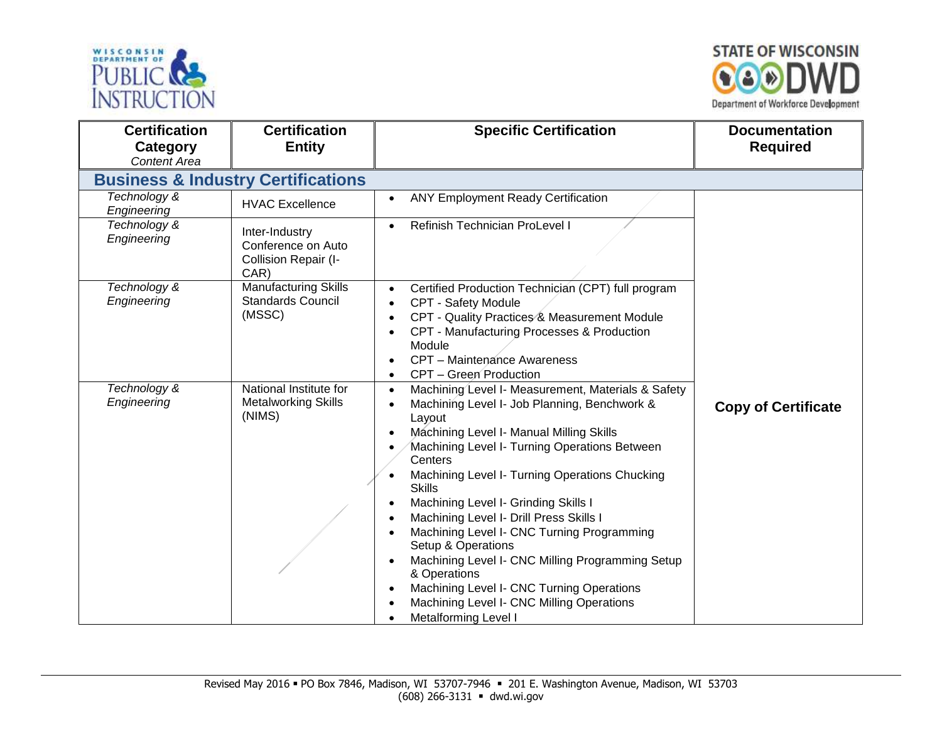



| <b>Certification</b><br>Category<br><b>Content Area</b> | <b>Certification</b><br><b>Entity</b>                                | <b>Specific Certification</b>                                                                                                                                                                                                                                                                                                                                                                                                                                                                                                                                                                                                        | <b>Documentation</b><br><b>Required</b> |
|---------------------------------------------------------|----------------------------------------------------------------------|--------------------------------------------------------------------------------------------------------------------------------------------------------------------------------------------------------------------------------------------------------------------------------------------------------------------------------------------------------------------------------------------------------------------------------------------------------------------------------------------------------------------------------------------------------------------------------------------------------------------------------------|-----------------------------------------|
|                                                         | <b>Business &amp; Industry Certifications</b>                        |                                                                                                                                                                                                                                                                                                                                                                                                                                                                                                                                                                                                                                      |                                         |
| Technology &<br>Engineering                             | <b>HVAC Excellence</b>                                               | <b>ANY Employment Ready Certification</b>                                                                                                                                                                                                                                                                                                                                                                                                                                                                                                                                                                                            |                                         |
| Technology &<br>Engineering                             | Inter-Industry<br>Conference on Auto<br>Collision Repair (I-<br>CAR) | Refinish Technician ProLevel I                                                                                                                                                                                                                                                                                                                                                                                                                                                                                                                                                                                                       |                                         |
| Technology &<br>Engineering                             | <b>Manufacturing Skills</b><br><b>Standards Council</b><br>(MSSC)    | Certified Production Technician (CPT) full program<br>CPT - Safety Module<br>CPT - Quality Practices & Measurement Module<br>CPT - Manufacturing Processes & Production<br>Module<br>CPT - Maintenance Awareness<br>CPT - Green Production                                                                                                                                                                                                                                                                                                                                                                                           |                                         |
| Technology &<br>Engineering                             | National Institute for<br><b>Metalworking Skills</b><br>(NIMS)       | Machining Level I- Measurement, Materials & Safety<br>Machining Level I- Job Planning, Benchwork &<br>Layout<br>Machining Level I- Manual Milling Skills<br>Machining Level I- Turning Operations Between<br>Centers<br>Machining Level I- Turning Operations Chucking<br><b>Skills</b><br>Machining Level I- Grinding Skills I<br>Machining Level I- Drill Press Skills I<br>Machining Level I- CNC Turning Programming<br>Setup & Operations<br>Machining Level I- CNC Milling Programming Setup<br>& Operations<br>Machining Level I- CNC Turning Operations<br>Machining Level I- CNC Milling Operations<br>Metalforming Level I | <b>Copy of Certificate</b>              |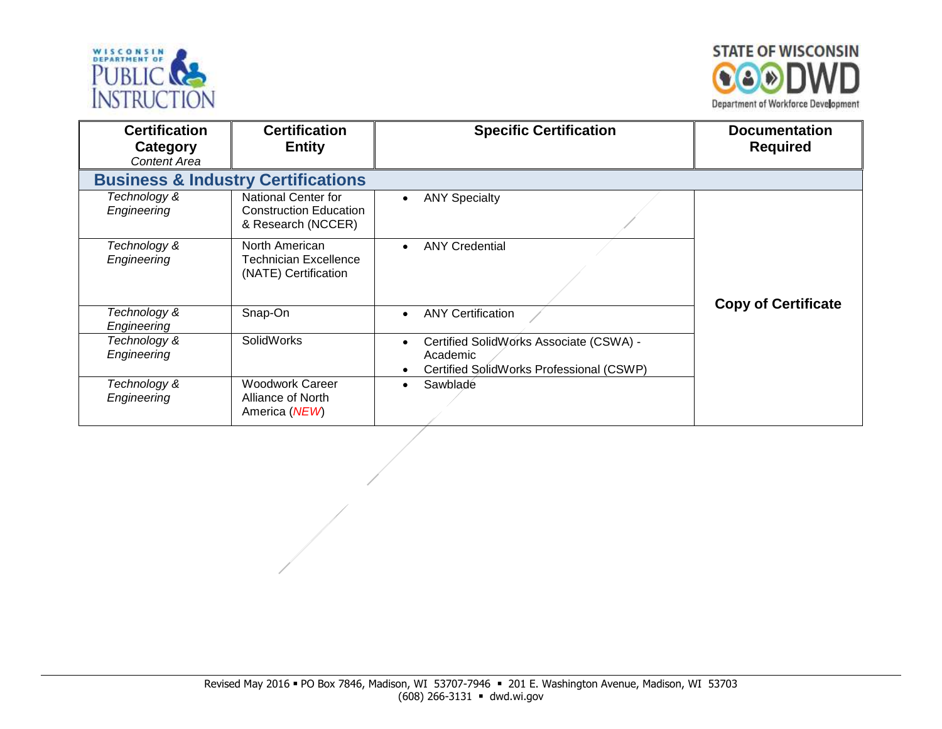



| <b>Certification</b><br>Category<br><b>Content Area</b> | <b>Certification</b><br><b>Entity</b>                                             | <b>Specific Certification</b>                                                                                | <b>Documentation</b><br><b>Required</b> |
|---------------------------------------------------------|-----------------------------------------------------------------------------------|--------------------------------------------------------------------------------------------------------------|-----------------------------------------|
|                                                         | <b>Business &amp; Industry Certifications</b>                                     |                                                                                                              |                                         |
| Technology &<br>Engineering                             | <b>National Center for</b><br><b>Construction Education</b><br>& Research (NCCER) | <b>ANY Specialty</b><br>$\bullet$                                                                            |                                         |
| Technology &<br>Engineering                             | North American<br><b>Technician Excellence</b><br>(NATE) Certification            | <b>ANY Credential</b><br>$\bullet$                                                                           | <b>Copy of Certificate</b>              |
| Technology &<br>Engineering                             | Snap-On                                                                           | <b>ANY Certification</b><br>$\bullet$                                                                        |                                         |
| Technology &<br>Engineering                             | <b>SolidWorks</b>                                                                 | Certified SolidWorks Associate (CSWA) -<br>$\bullet$<br>Academic<br>Certified SolidWorks Professional (CSWP) |                                         |
| Technology &<br>Engineering                             | <b>Woodwork Career</b><br>Alliance of North<br>America (NEW)                      | Sawblade                                                                                                     |                                         |